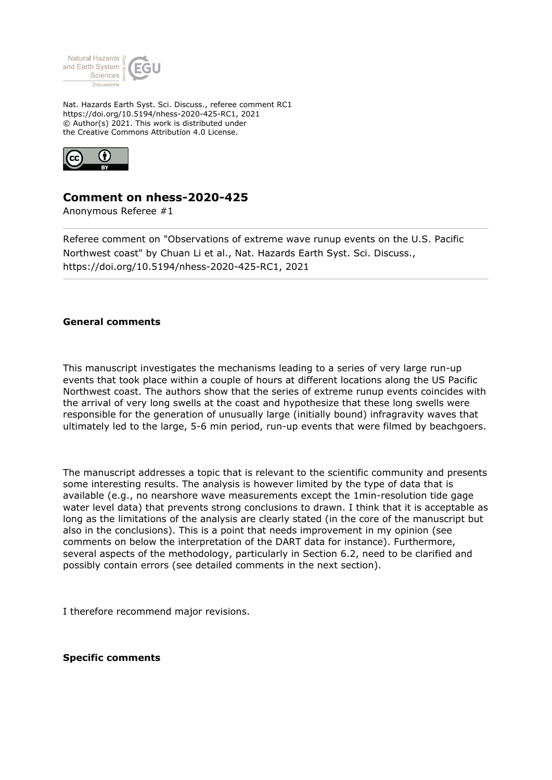

Nat. Hazards Earth Syst. Sci. Discuss., referee comment RC1 https://doi.org/10.5194/nhess-2020-425-RC1, 2021 © Author(s) 2021. This work is distributed under the Creative Commons Attribution 4.0 License.



## **Comment on nhess-2020-425**

Anonymous Referee #1

Referee comment on "Observations of extreme wave runup events on the U.S. Pacific Northwest coast" by Chuan Li et al., Nat. Hazards Earth Syst. Sci. Discuss., https://doi.org/10.5194/nhess-2020-425-RC1, 2021

## **General comments**

This manuscript investigates the mechanisms leading to a series of very large run-up events that took place within a couple of hours at different locations along the US Pacific Northwest coast. The authors show that the series of extreme runup events coincides with the arrival of very long swells at the coast and hypothesize that these long swells were responsible for the generation of unusually large (initially bound) infragravity waves that ultimately led to the large, 5-6 min period, run-up events that were filmed by beachgoers.

The manuscript addresses a topic that is relevant to the scientific community and presents some interesting results. The analysis is however limited by the type of data that is available (e.g., no nearshore wave measurements except the 1min-resolution tide gage water level data) that prevents strong conclusions to drawn. I think that it is acceptable as long as the limitations of the analysis are clearly stated (in the core of the manuscript but also in the conclusions). This is a point that needs improvement in my opinion (see comments on below the interpretation of the DART data for instance). Furthermore, several aspects of the methodology, particularly in Section 6.2, need to be clarified and possibly contain errors (see detailed comments in the next section).

I therefore recommend major revisions.

## **Specific comments**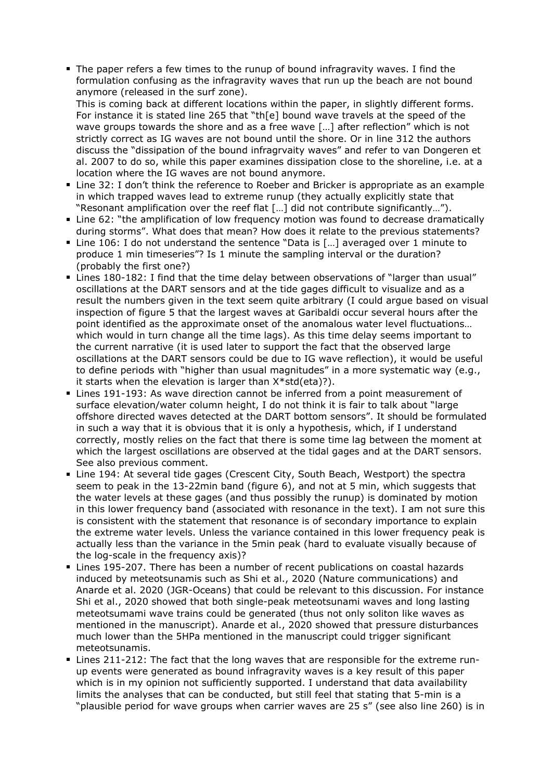The paper refers a few times to the runup of bound infragravity waves. I find the formulation confusing as the infragravity waves that run up the beach are not bound anymore (released in the surf zone).

This is coming back at different locations within the paper, in slightly different forms. For instance it is stated line 265 that "th[e] bound wave travels at the speed of the wave groups towards the shore and as a free wave […] after reflection" which is not strictly correct as IG waves are not bound until the shore. Or in line 312 the authors discuss the "dissipation of the bound infragrvaity waves" and refer to van Dongeren et al. 2007 to do so, while this paper examines dissipation close to the shoreline, i.e. at a location where the IG waves are not bound anymore.

- Line 32: I don't think the reference to Roeber and Bricker is appropriate as an example in which trapped waves lead to extreme runup (they actually explicitly state that "Resonant amplification over the reef flat […] did not contribute significantly…").
- Line 62: "the amplification of low frequency motion was found to decrease dramatically during storms". What does that mean? How does it relate to the previous statements?
- Line 106: I do not understand the sentence "Data is [...] averaged over 1 minute to produce 1 min timeseries"? Is 1 minute the sampling interval or the duration? (probably the first one?)
- Lines 180-182: I find that the time delay between observations of "larger than usual" oscillations at the DART sensors and at the tide gages difficult to visualize and as a result the numbers given in the text seem quite arbitrary (I could argue based on visual inspection of figure 5 that the largest waves at Garibaldi occur several hours after the point identified as the approximate onset of the anomalous water level fluctuations… which would in turn change all the time lags). As this time delay seems important to the current narrative (it is used later to support the fact that the observed large oscillations at the DART sensors could be due to IG wave reflection), it would be useful to define periods with "higher than usual magnitudes" in a more systematic way (e.g., it starts when the elevation is larger than X\*std(eta)?).
- Lines 191-193: As wave direction cannot be inferred from a point measurement of surface elevation/water column height, I do not think it is fair to talk about "large offshore directed waves detected at the DART bottom sensors". It should be formulated in such a way that it is obvious that it is only a hypothesis, which, if I understand correctly, mostly relies on the fact that there is some time lag between the moment at which the largest oscillations are observed at the tidal gages and at the DART sensors. See also previous comment.
- Line 194: At several tide gages (Crescent City, South Beach, Westport) the spectra seem to peak in the 13-22min band (figure 6), and not at 5 min, which suggests that the water levels at these gages (and thus possibly the runup) is dominated by motion in this lower frequency band (associated with resonance in the text). I am not sure this is consistent with the statement that resonance is of secondary importance to explain the extreme water levels. Unless the variance contained in this lower frequency peak is actually less than the variance in the 5min peak (hard to evaluate visually because of the log-scale in the frequency axis)?
- Lines 195-207. There has been a number of recent publications on coastal hazards induced by meteotsunamis such as Shi et al., 2020 (Nature communications) and Anarde et al. 2020 (JGR-Oceans) that could be relevant to this discussion. For instance Shi et al., 2020 showed that both single-peak meteotsunami waves and long lasting meteotsumami wave trains could be generated (thus not only soliton like waves as mentioned in the manuscript). Anarde et al., 2020 showed that pressure disturbances much lower than the 5HPa mentioned in the manuscript could trigger significant meteotsunamis.
- Lines 211-212: The fact that the long waves that are responsible for the extreme runup events were generated as bound infragravity waves is a key result of this paper which is in my opinion not sufficiently supported. I understand that data availability limits the analyses that can be conducted, but still feel that stating that 5-min is a "plausible period for wave groups when carrier waves are 25 s" (see also line 260) is in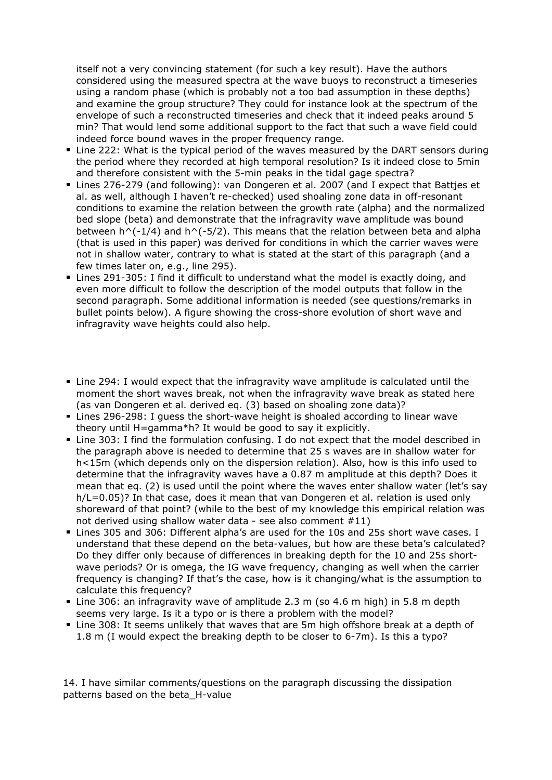itself not a very convincing statement (for such a key result). Have the authors considered using the measured spectra at the wave buoys to reconstruct a timeseries using a random phase (which is probably not a too bad assumption in these depths) and examine the group structure? They could for instance look at the spectrum of the envelope of such a reconstructed timeseries and check that it indeed peaks around 5 min? That would lend some additional support to the fact that such a wave field could indeed force bound waves in the proper frequency range.

- Line 222: What is the typical period of the waves measured by the DART sensors during the period where they recorded at high temporal resolution? Is it indeed close to 5min and therefore consistent with the 5-min peaks in the tidal gage spectra?
- Lines 276-279 (and following): van Dongeren et al. 2007 (and I expect that Battjes et al. as well, although I haven't re-checked) used shoaling zone data in off-resonant conditions to examine the relation between the growth rate (alpha) and the normalized bed slope (beta) and demonstrate that the infragravity wave amplitude was bound between  $h^(-1/4)$  and  $h^(-5/2)$ . This means that the relation between beta and alpha (that is used in this paper) was derived for conditions in which the carrier waves were not in shallow water, contrary to what is stated at the start of this paragraph (and a few times later on, e.g., line 295).
- Lines 291-305: I find it difficult to understand what the model is exactly doing, and even more difficult to follow the description of the model outputs that follow in the second paragraph. Some additional information is needed (see questions/remarks in bullet points below). A figure showing the cross-shore evolution of short wave and infragravity wave heights could also help.
- Line 294: I would expect that the infragravity wave amplitude is calculated until the moment the short waves break, not when the infragravity wave break as stated here (as van Dongeren et al. derived eq. (3) based on shoaling zone data)?
- Lines 296-298: I guess the short-wave height is shoaled according to linear wave theory until H=gamma\*h? It would be good to say it explicitly.
- Line 303: I find the formulation confusing. I do not expect that the model described in the paragraph above is needed to determine that 25 s waves are in shallow water for h<15m (which depends only on the dispersion relation). Also, how is this info used to determine that the infragravity waves have a 0.87 m amplitude at this depth? Does it mean that eq. (2) is used until the point where the waves enter shallow water (let's say h/L=0.05)? In that case, does it mean that van Dongeren et al. relation is used only shoreward of that point? (while to the best of my knowledge this empirical relation was not derived using shallow water data - see also comment #11)
- Lines 305 and 306: Different alpha's are used for the 10s and 25s short wave cases. I understand that these depend on the beta-values, but how are these beta's calculated? Do they differ only because of differences in breaking depth for the 10 and 25s shortwave periods? Or is omega, the IG wave frequency, changing as well when the carrier frequency is changing? If that's the case, how is it changing/what is the assumption to calculate this frequency?
- Line 306: an infragravity wave of amplitude 2.3 m (so 4.6 m high) in 5.8 m depth seems very large. Is it a typo or is there a problem with the model?
- Line 308: It seems unlikely that waves that are 5m high offshore break at a depth of 1.8 m (I would expect the breaking depth to be closer to 6-7m). Is this a typo?

14. I have similar comments/questions on the paragraph discussing the dissipation patterns based on the beta\_H-value